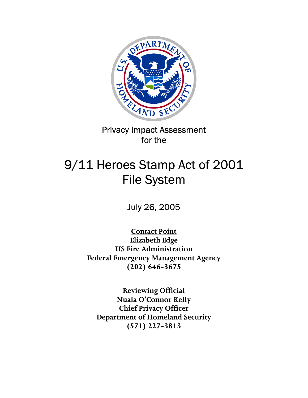

Privacy Impact Assessment for the

# 9/11 Heroes Stamp Act of 2001 File System

July 26, 2005

**Contact Point Elizabeth Edge US Fire Administration Federal Emergency Management Agency (202) 646-3675** 

**Reviewing Official Nuala O'Connor Kelly Chief Privacy Officer Department of Homeland Security (571) 227-3813**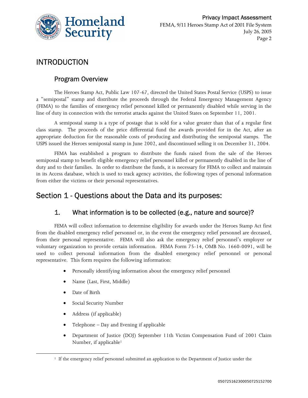

# INTRODUCTION

### Program Overview

The Heroes Stamp Act, Public Law 107-67, directed the United States Postal Service (USPS) to issue a "semipostal" stamp and distribute the proceeds through the Federal Emergency Management Agency (FEMA) to the families of emergency relief personnel killed or permanently disabled while serving in the line of duty in connection with the terrorist attacks against the United States on September 11, 2001.

A semipostal stamp is a type of postage that is sold for a value greater than that of a regular first class stamp. The proceeds of the price differential fund the awards provided for in the Act, after an appropriate deduction for the reasonable costs of producing and distributing the semipostal stamps. The USPS issued the Heroes semipostal stamp in June 2002, and discontinued selling it on December 31, 2004.

FEMA has established a program to distribute the funds raised from the sale of the Heroes semipostal stamp to benefit eligible emergency relief personnel killed or permanently disabled in the line of duty and to their families. In order to distribute the funds, it is necessary for FEMA to collect and maintain in its Access database, which is used to track agency activities, the following types of personal information from either the victims or their personal representatives.

# Section 1 - Questions about the Data and its purposes:

### 1. What information is to be collected (e.g., nature and source)?

FEMA will collect information to determine eligibility for awards under the Heroes Stamp Act first from the disabled emergency relief personnel or, in the event the emergency relief personnel are deceased, from their personal representative. FEMA will also ask the emergency relief personnel's employer or voluntary organization to provide certain information. FEMA Form 75-14, OMB No. 1660-0091, will be used to collect personal information from the disabled emergency relief personnel or personal representative. This form requires the following information:

- Personally identifying information about the emergency relief personnel
- Name (Last, First, Middle)
- Date of Birth

<u> 1989 - Johann Barn, mars eta bainar eta industrial eta bainar eta baina eta baina eta baina eta baina eta ba</u>

- Social Security Number
- Address (if applicable)
- Telephone Day and Evening if applicable
- Department of Justice (DOJ) September 11th Victim Compensation Fund of 2001 Claim Number, if applicable<sup>1</sup>

<sup>&</sup>lt;sup>1</sup> If the emergency relief personnel submitted an application to the Department of Justice under the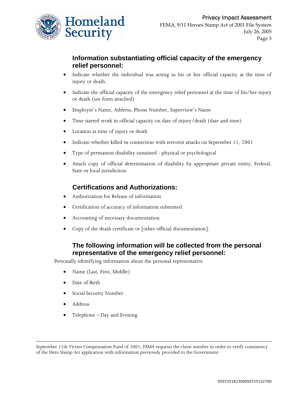

### **Information substantiating official capacity of the emergency relief personnel:**

- Indicate whether the individual was acting in his or her official capacity at the time of injury or death.
- Indicate the official capacity of the emergency relief personnel at the time of his/her injury or death (see form attached)
- Employer's Name, Address, Phone Number, Supervisor's Name
- Time started work in official capacity on date of injury/death (date and time)
- Location at time of injury or death
- Indicate whether killed in connection with terrorist attacks on September 11, 2001
- Type of permanent disability sustained physical or psychological
- Attach copy of official determination of disability by appropriate private entity, Federal, State or local jurisdiction

#### **Certifications and Authorizations:**

- Authorization for Release of information
- Certification of accuracy of information submitted
- Accounting of necessary documentation
- Copy of the death certificate or [other official documentation].

### **The following information will be collected from the personal representative of the emergency relief personnel:**

Personally identifying information about the personal representative

- Name (Last, First, Middle)
- Date of Birth
- Social Security Number
- Address
- Telephone Day and Evening

 September 11th Victim Compensation Fund of 2001, FEMA requests the claim number in order to verify consistency of the Hero Stamp Act application with information previously provided to the Government.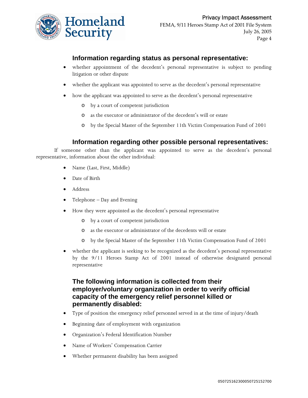

#### **Information regarding status as personal representative:**

- whether appointment of the decedent's personal representative is subject to pending litigation or other dispute
- whether the applicant was appointed to serve as the decedent's personal representative
- how the applicant was appointed to serve as the decedent's personal representative
	- o by a court of competent jurisdiction
	- o as the executor or administrator of the decedent's will or estate
	- o by the Special Master of the September 11th Victim Compensation Fund of 2001

#### **Information regarding other possible personal representatives:**

If someone other than the applicant was appointed to serve as the decedent's personal representative, information about the other individual:

- Name (Last, First, Middle)
- Date of Birth
- Address
- Telephone Day and Evening
- How they were appointed as the decedent's personal representative
	- o by a court of competent jurisdiction
	- o as the executor or administrator of the decedents will or estate
	- o by the Special Master of the September 11th Victim Compensation Fund of 2001
- whether the applicant is seeking to be recognized as the decedent's personal representative by the 9/11 Heroes Stamp Act of 2001 instead of otherwise designated personal representative

#### **The following information is collected from their employer/voluntary organization in order to verify official capacity of the emergency relief personnel killed or permanently disabled:**

- Type of position the emergency relief personnel served in at the time of injury/death
- Beginning date of employment with organization
- Organization's Federal Identification Number
- Name of Workers' Compensation Carrier
- Whether permanent disability has been assigned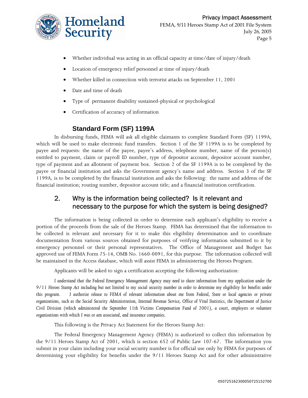

- Whether individual was acting in an official capacity at time/date of injury/death
- Location of emergency relief personnel at time of injury/death
- Whether killed in connection with terrorist attacks on September 11, 2001
- Date and time of death
- Type of permanent disability sustained-physical or psychological
- Certification of accuracy of information

#### **Standard Form (SF) 1199A**

In disbursing funds, FEMA will ask all eligible claimants to complete Standard Form (SF) 1199A, which will be used to make electronic fund transfers. Section 1 of the SF 1199A is to be completed by payee and requests: the name of the payee, payee's address, telephone number, name of the person(s) entitled to payment, claim or payroll ID number, type of depositor account, depositor account number, type of payment and an allotment of payment box. Section 2 of the SF 1199A is to be completed by the payee or financial institution and asks the Government agency's name and address. Section 3 of the SF 1199A, is to be completed by the financial institution and asks the following: the name and address of the financial institution; routing number, depositor account title; and a financial institution certification.

### 2. Why is the information being collected? Is it relevant and necessary to the purpose for which the system is being designed?

The information is being collected in order to determine each applicant's eligibility to receive a portion of the proceeds from the sale of the Heroes Stamp. FEMA has determined that the information to be collected is relevant and necessary for it to make this eligibility determination and to coordinate documentation from various sources obtained for purposes of verifying information submitted to it by emergency personnel or their personal representatives. The Office of Management and Budget has approved use of FEMA Form 75-14, OMB No. 1660-0091, for this purpose. The information collected will be maintained in the Access database, which will assist FEMA in administering the Heroes Program.

Applicants will be asked to sign a certification accepting the following authorization:

*I understand that the Federal Emergency Management Agency may need to share information from my application under the 9/11 Heroes Stamp Act including but not limited to my social security number in order to determine my eligibility for benefits under this program. I authorize release to FEMA of relevant information about me from Federal, State or local agencies or private organizations, such as the Social Security Administration, Internal Revenue Service, Office of Vital Statistics, the Department of Justice Civil Division (which administered the September 11th Victims Compensation Fund of 2001), a court, employers or volunteer organizations with which I was or am associated, and insurance companies.* 

This following is the Privacy Act Statement for the Heroes Stamp Act:

The Federal Emergency Management Agency (FEMA) is authorized to collect this information by the 9/11 Heroes Stamp Act of 2001, which is section 652 of Public Law 107-67. The information you submit in your claim including your social security number is for official use only by FEMA for purposes of determining your eligibility for benefits under the 9/11 Heroes Stamp Act and for other administrative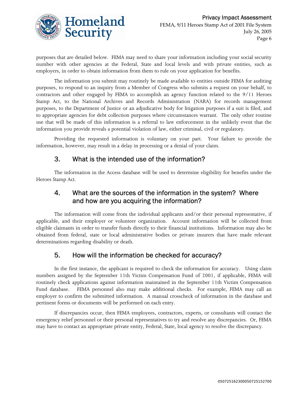

purposes that are detailed below. FEMA may need to share your information including your social security number with other agencies at the Federal, State and local levels and with private entities, such as employers, in order to obtain information from them to rule on your application for benefits.

The information you submit may routinely be made available to entities outside FEMA for auditing purposes, to respond to an inquiry from a Member of Congress who submits a request on your behalf, to contractors and other engaged by FEMA to accomplish an agency function related to the 9/11 Heroes Stamp Act, to the National Archives and Records Administration (NARA) for records management purposes, to the Department of Justice or an adjudicative body for litigation purposes if a suit is filed, and to appropriate agencies for debt collection purposes where circumstances warrant. The only other routine use that will be made of this information is a referral to law enforcement in the unlikely event that the information you provide reveals a potential violation of law, either criminal, civil or regulatory.

Providing the requested information is voluntary on your part. Your failure to provide the information, however, may result in a delay in processing or a denial of your claim.

### 3. What is the intended use of the information?

The information in the Access database will be used to determine eligibility for benefits under the Heroes Stamp Act.

### 4. What are the sources of the information in the system? Where and how are you acquiring the information?

The information will come from the individual applicants and/or their personal representative, if applicable, and their employer or volunteer organization. Account information will be collected from eligible claimants in order to transfer funds directly to their financial institutions. Information may also be obtained from federal, state or local administrative bodies or private insurers that have made relevant determinations regarding disability or death.

# 5. How will the information be checked for accuracy?

In the first instance, the applicant is required to check the information for accuracy. Using claim numbers assigned by the September 11th Victim Compensation Fund of 2001, if applicable, FEMA will routinely check applications against information maintained in the September 11th Victim Compensation Fund database. FEMA personnel also may make additional checks. For example, FEMA may call an employer to confirm the submitted information. A manual crosscheck of information in the database and pertinent forms or documents will be performed on each entry.

If discrepancies occur, then FEMA employees, contractors, experts, or consultants will contact the emergency relief personnel or their personal representatives to try and resolve any discrepancies. Or, FEMA may have to contact an appropriate private entity, Federal, State, local agency to resolve the discrepancy.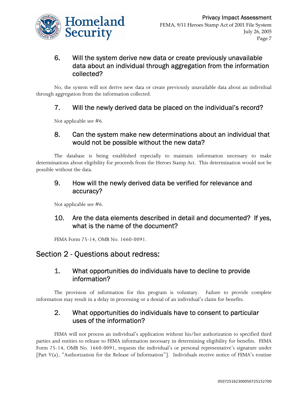

### 6. Will the system derive new data or create previously unavailable data about an individual through aggregation from the information collected?

No, the system will not derive new data or create previously unavailable data about an individual through aggregation from the information collected.

### 7. Will the newly derived data be placed on the individual's record?

Not applicable see #6.

### 8. Can the system make new determinations about an individual that would not be possible without the new data?

The database is being established especially to maintain information necessary to make determinations about eligibility for proceeds from the Heroes Stamp Act. This determination would not be possible without the data.

### 9. How will the newly derived data be verified for relevance and accuracy?

Not applicable see #6.

# 10. Are the data elements described in detail and documented? If yes, what is the name of the document?

FEMA Form 75-14, OMB No. 1660-0091.

# Section 2 - Questions about redress:

### 1. What opportunities do individuals have to decline to provide information?

The provision of information for this program is voluntary. Failure to provide complete information may result in a delay in processing or a denial of an individual's claim for benefits.

### 2. What opportunities do individuals have to consent to particular uses of the information?

FEMA will not process an individual's application without his/her authorization to specified third parties and entities to release to FEMA information necessary in determining eligibility for benefits. FEMA Form 75-14, OMB No. 1660-0091, requests the individual's or personal representative's signature under [Part V(a), "Authorization for the Release of Information"]. Individuals receive notice of FEMA's routine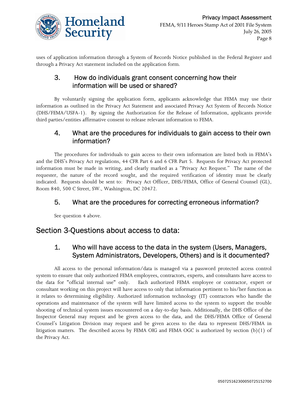

uses of application information through a System of Records Notice published in the Federal Register and through a Privacy Act statement included on the application form.

### 3. How do individuals grant consent concerning how their information will be used or shared?

By voluntarily signing the application form, applicants acknowledge that FEMA may use their information as outlined in the Privacy Act Statement and associated Privacy Act System of Records Notice (DHS/FEMA/USFA-1). By signing the Authorization for the Release of Information, applicants provide third parties/entities affirmative consent to release relevant information to FEMA.

### 4. What are the procedures for individuals to gain access to their own information?

The procedures for individuals to gain access to their own information are listed both in FEMA's and the DHS's Privacy Act regulations, 44 CFR Part 6 and 6 CFR Part 5. Requests for Privacy Act protected information must be made in writing, and clearly marked as a "Privacy Act Request." The name of the requester, the nature of the record sought, and the required verification of identity must be clearly indicated. Requests should be sent to: Privacy Act Officer, DHS/FEMA, Office of General Counsel (GL), Room 840, 500 C Street, SW., Washington, DC 20472.

# 5. What are the procedures for correcting erroneous information?

See question 4 above.

# Section 3-Questions about access to data:

### 1. Who will have access to the data in the system (Users, Managers, System Administrators, Developers, Others) and is it documented?

All access to the personal information/data is managed via a password protected access control system to ensure that only authorized FEMA employees, contractors, experts, and consultants have access to the data for "official internal use" only. Each authorized FEMA employee or contractor, expert or consultant working on this project will have access to only that information pertinent to his/her function as it relates to determining eligibility. Authorized information technology (IT) contractors who handle the operations and maintenance of the system will have limited access to the system to support the trouble shooting of technical system issues encountered on a day-to-day basis. Additionally, the DHS Office of the Inspector General may request and be given access to the data, and the DHS/FEMA Office of General Counsel's Litigation Division may request and be given access to the data to represent DHS/FEMA in litigation matters. The described access by FEMA OIG and FEMA OGC is authorized by section (b)(1) of the Privacy Act.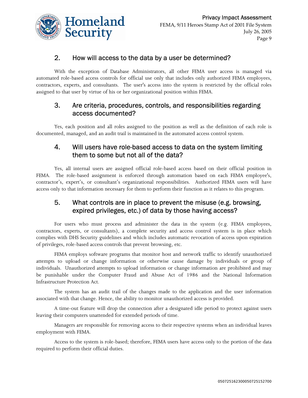

### 2. How will access to the data by a user be determined?

With the exception of Database Administrators, all other FEMA user access is managed via automated role-based access controls for official use only that includes only authorized FEMA employees, contractors, experts, and consultants. The user's access into the system is restricted by the official roles assigned to that user by virtue of his or her organizational position within FEMA.

### 3. Are criteria, procedures, controls, and responsibilities regarding access documented?

Yes, each position and all roles assigned to the position as well as the definition of each role is documented, managed, and an audit trail is maintained in the automated access control system.

### 4. Will users have role-based access to data on the system limiting them to some but not all of the data?

Yes, all internal users are assigned official role-based access based on their official position in FEMA. The role-based assignment is enforced through automation based on each FEMA employee's, contractor's, expert's, or consultant's organizational responsibilities. Authorized FEMA users will have access only to that information necessary for them to perform their function as it relates to this program.

### 5. What controls are in place to prevent the misuse (e.g. browsing, expired privileges, etc.) of data by those having access?

For users who must process and administer the data in the system (e.g. FEMA employees, contractors, experts, or consultants), a complete security and access control system is in place which complies with DHS Security guidelines and which includes automatic revocation of access upon expiration of privileges, role-based access controls that prevent browsing, etc.

FEMA employs software programs that monitor host and network traffic to identify unauthorized attempts to upload or change information or otherwise cause damage by individuals or group of individuals. Unauthorized attempts to upload information or change information are prohibited and may be punishable under the Computer Fraud and Abuse Act of 1986 and the National Information Infrastructure Protection Act.

The system has an audit trail of the changes made to the application and the user information associated with that change. Hence, the ability to monitor unauthorized access is provided.

A time-out feature will drop the connection after a designated idle period to protect against users leaving their computers unattended for extended periods of time.

Managers are responsible for removing access to their respective systems when an individual leaves employment with FEMA.

Access to the system is role-based; therefore, FEMA users have access only to the portion of the data required to perform their official duties.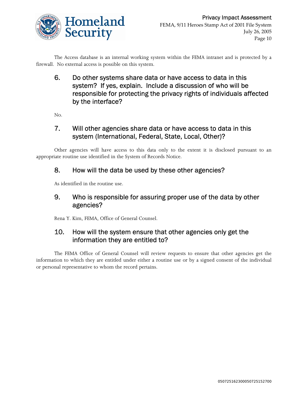

The Access database is an internal working system within the FEMA intranet and is protected by a firewall. No external access is possible on this system.

6. Do other systems share data or have access to data in this system? If yes, explain. Include a discussion of who will be responsible for protecting the privacy rights of individuals affected by the interface?

No.

### 7. Will other agencies share data or have access to data in this system (International, Federal, State, Local, Other)?

Other agencies will have access to this data only to the extent it is disclosed pursuant to an appropriate routine use identified in the System of Records Notice.

### 8. How will the data be used by these other agencies?

As identified in the routine use.

### 9. Who is responsible for assuring proper use of the data by other agencies?

Rena Y. Kim, FEMA, Office of General Counsel.

### 10. How will the system ensure that other agencies only get the information they are entitled to?

The FEMA Office of General Counsel will review requests to ensure that other agencies get the information to which they are entitled under either a routine use or by a signed consent of the individual or personal representative to whom the record pertains.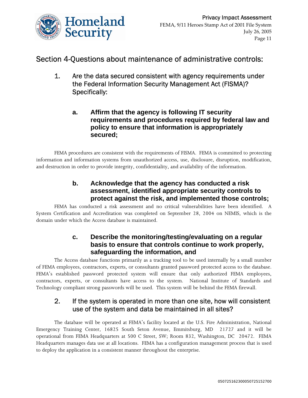

# Section 4-Questions about maintenance of administrative controls:

- 1. Are the data secured consistent with agency requirements under the Federal Information Security Management Act (FISMA)? Specifically:
	- **a. Affirm that the agency is following IT security requirements and procedures required by federal law and policy to ensure that information is appropriately secured;**

FEMA procedures are consistent with the requirements of FISMA. FEMA is committed to protecting information and information systems from unauthorized access, use, disclosure, disruption, modification, and destruction in order to provide integrity, confidentiality, and availability of the information.

### **b. Acknowledge that the agency has conducted a risk assessment, identified appropriate security controls to protect against the risk, and implemented those controls;**

FEMA has conducted a risk assessment and no critical vulnerabilities have been identified. A System Certification and Accreditation was completed on September 28, 2004 on NEMIS, which is the domain under which the Access database is maintained.

### **c. Describe the monitoring/testing/evaluating on a regular basis to ensure that controls continue to work properly, safeguarding the information, and**

The Access database functions primarily as a tracking tool to be used internally by a small number of FEMA employees, contractors, experts, or consultants granted password protected access to the database. FEMA's established password protected system will ensure that only authorized FEMA employees, contractors, experts, or consultants have access to the system. National Institute of Standards and Technology compliant strong passwords will be used. This system will be behind the FEMA firewall.

### 2. If the system is operated in more than one site, how will consistent use of the system and data be maintained in all sites?

The database will be operated at FEMA's facility located at the U.S. Fire Administration, National Emergency Training Center, 16825 South Seton Avenue, Emmitsburg, MD 21727 and it will be operational from FEMA Headquarters at 500 C Street, SW; Room 832, Washington, DC 20472. FEMA Headquarters manages data use at all locations. FEMA has a configuration management process that is used to deploy the application in a consistent manner throughout the enterprise.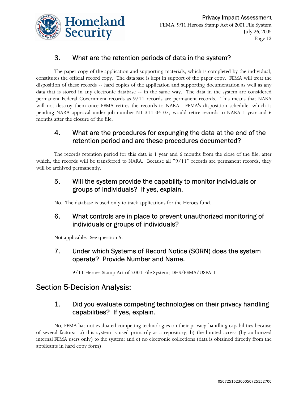

# 3. What are the retention periods of data in the system?

The paper copy of the application and supporting materials, which is completed by the individual, constitutes the official record copy. The database is kept in support of the paper copy. FEMA will treat the disposition of these records -- hard copies of the application and supporting documentation as well as any data that is stored in any electronic database -- in the same way. The data in the system are considered permanent Federal Government records as 9/11 records are permanent records. This means that NARA will not destroy them once FEMA retires the records to NARA. FEMA's disposition schedule, which is pending NARA approval under job number N1-311-04-05, would retire records to NARA 1 year and 6 months after the closure of the file.

### 4. What are the procedures for expunging the data at the end of the retention period and are these procedures documented?

The records retention period for this data is 1 year and 6 months from the close of the file, after which, the records will be transferred to NARA. Because all "9/11" records are permanent records, they will be archived permanently.

### 5. Will the system provide the capability to monitor individuals or groups of individuals? If yes, explain.

No. The database is used only to track applications for the Heroes fund.

# 6. What controls are in place to prevent unauthorized monitoring of individuals or groups of individuals?

Not applicable. See question 5.

# 7. Under which Systems of Record Notice (SORN) does the system operate? Provide Number and Name.

9/11 Heroes Stamp Act of 2001 File System; DHS/FEMA/USFA-1

# Section 5-Decision Analysis:

# 1. Did you evaluate competing technologies on their privacy handling capabilities? If yes, explain.

No, FEMA has not evaluated competing technologies on their privacy-handling capabilities because of several factors: a) this system is used primarily as a repository; b) the limited access (by authorized internal FEMA users only) to the system; and c) no electronic collections (data is obtained directly from the applicants in hard copy form).